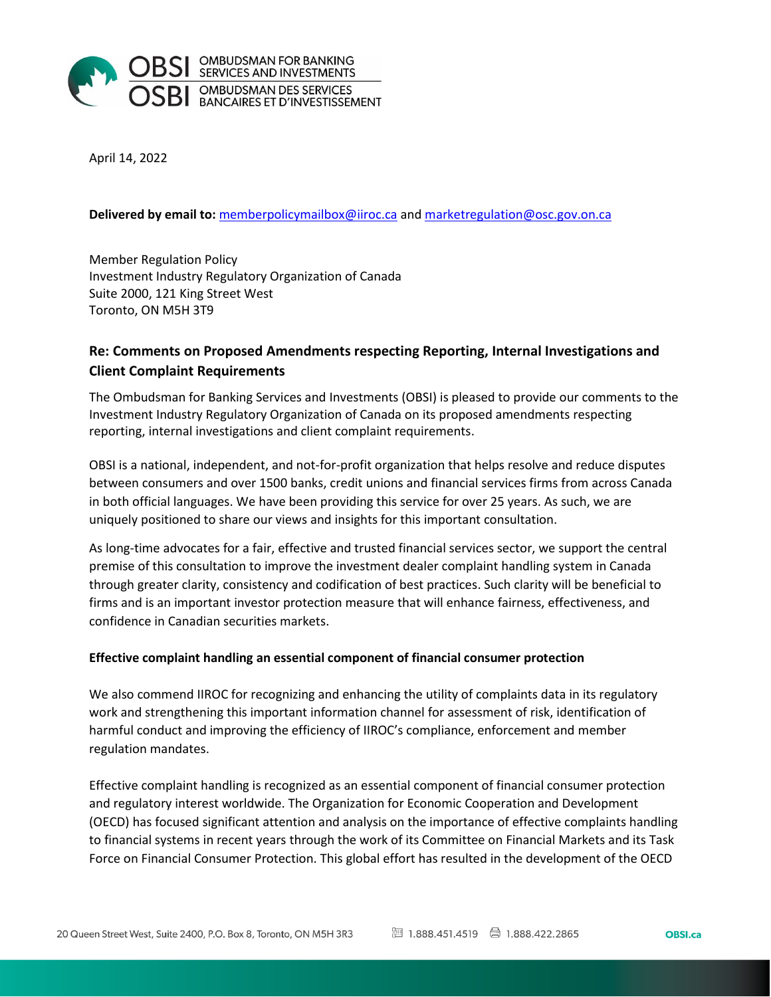

April 14, 2022

#### **Delivered by email to:** [memberpolicymailbox@iiroc.ca](mailto:memberpolicymailbox@iiroc.ca) an[d marketregulation@osc.gov.on.ca](mailto:marketregulation@osc.gov.on.ca)

Member Regulation Policy Investment Industry Regulatory Organization of Canada Suite 2000, 121 King Street West Toronto, ON M5H 3T9

# **Re: Comments on Proposed Amendments respecting Reporting, Internal Investigations and Client Complaint Requirements**

The Ombudsman for Banking Services and Investments (OBSI) is pleased to provide our comments to the Investment Industry Regulatory Organization of Canada on its proposed amendments respecting reporting, internal investigations and client complaint requirements.

OBSI is a national, independent, and not-for-profit organization that helps resolve and reduce disputes between consumers and over 1500 banks, credit unions and financial services firms from across Canada in both official languages. We have been providing this service for over 25 years. As such, we are uniquely positioned to share our views and insights for this important consultation.

As long-time advocates for a fair, effective and trusted financial services sector, we support the central premise of this consultation to improve the investment dealer complaint handling system in Canada through greater clarity, consistency and codification of best practices. Such clarity will be beneficial to firms and is an important investor protection measure that will enhance fairness, effectiveness, and confidence in Canadian securities markets.

#### **Effective complaint handling an essential component of financial consumer protection**

We also commend IIROC for recognizing and enhancing the utility of complaints data in its regulatory work and strengthening this important information channel for assessment of risk, identification of harmful conduct and improving the efficiency of IIROC's compliance, enforcement and member regulation mandates.

Effective complaint handling is recognized as an essential component of financial consumer protection and regulatory interest worldwide. The Organization for Economic Cooperation and Development (OECD) has focused significant attention and analysis on the importance of effective complaints handling to financial systems in recent years through the work of its Committee on Financial Markets and its Task Force on Financial Consumer Protection. This global effort has resulted in the development of the OECD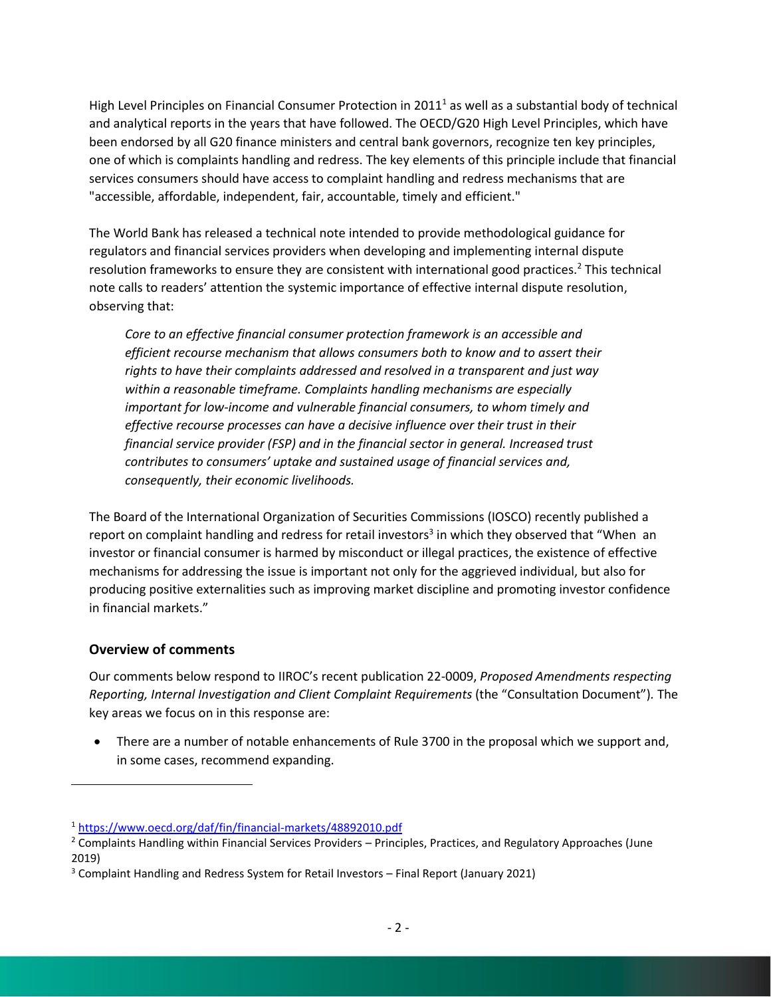High Level Principles on Financial Consumer Protection in 2011<sup>1</sup> as well as a substantial body of technical and analytical reports in the years that have followed. The OECD/G20 High Level Principles, which have been endorsed by all G20 finance ministers and central bank governors, recognize ten key principles, one of which is complaints handling and redress. The key elements of this principle include that financial services consumers should have access to complaint handling and redress mechanisms that are "accessible, affordable, independent, fair, accountable, timely and efficient."

The World Bank has released a technical note intended to provide methodological guidance for regulators and financial services providers when developing and implementing internal dispute resolution frameworks to ensure they are consistent with international good practices.<sup>2</sup> This technical note calls to readers' attention the systemic importance of effective internal dispute resolution, observing that:

*Core to an effective financial consumer protection framework is an accessible and efficient recourse mechanism that allows consumers both to know and to assert their rights to have their complaints addressed and resolved in a transparent and just way within a reasonable timeframe. Complaints handling mechanisms are especially important for low-income and vulnerable financial consumers, to whom timely and effective recourse processes can have a decisive influence over their trust in their financial service provider (FSP) and in the financial sector in general. Increased trust contributes to consumers' uptake and sustained usage of financial services and, consequently, their economic livelihoods.*

The Board of the International Organization of Securities Commissions (IOSCO) recently published a report on complaint handling and redress for retail investors<sup>3</sup> in which they observed that "When an investor or financial consumer is harmed by misconduct or illegal practices, the existence of effective mechanisms for addressing the issue is important not only for the aggrieved individual, but also for producing positive externalities such as improving market discipline and promoting investor confidence in financial markets."

### **Overview of comments**

Our comments below respond to IIROC's recent publication 22-0009, *Proposed Amendments respecting Reporting, Internal Investigation and Client Complaint Requirements* (the "Consultation Document")*.* The key areas we focus on in this response are:

• There are a number of notable enhancements of Rule 3700 in the proposal which we support and, in some cases, recommend expanding.

<sup>1</sup> <https://www.oecd.org/daf/fin/financial-markets/48892010.pdf>

 $2$  Complaints Handling within Financial Services Providers – Principles, Practices, and Regulatory Approaches (June 2019)

<sup>3</sup> Complaint Handling and Redress System for Retail Investors – Final Report (January 2021)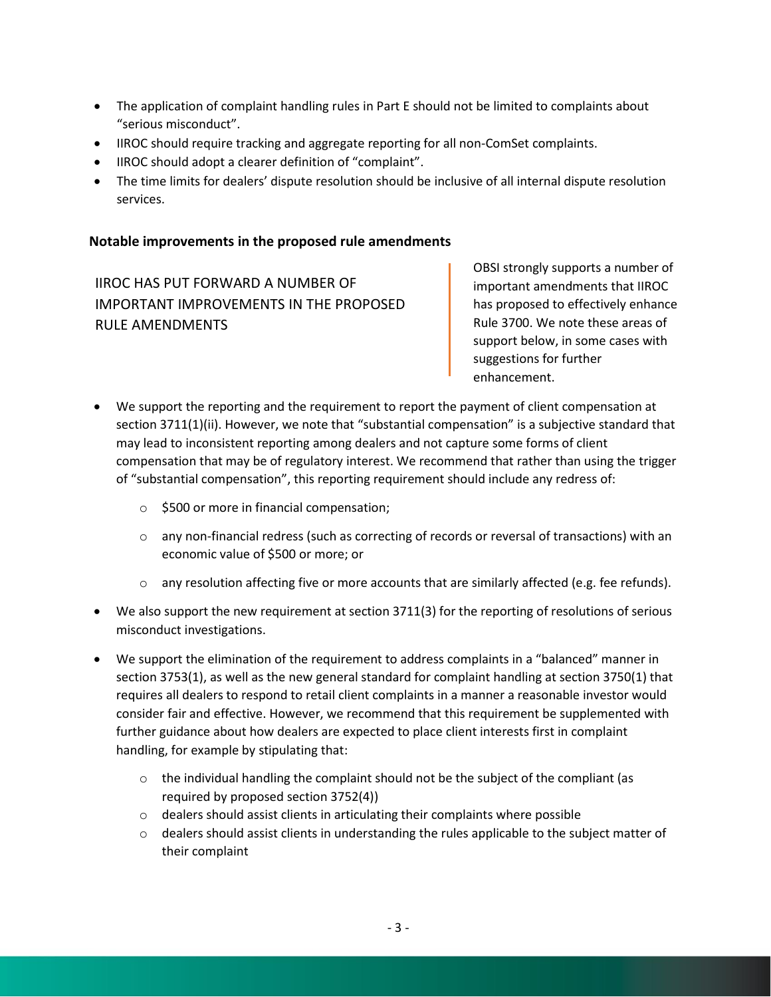- The application of complaint handling rules in Part E should not be limited to complaints about "serious misconduct".
- IIROC should require tracking and aggregate reporting for all non-ComSet complaints.
- IIROC should adopt a clearer definition of "complaint".
- The time limits for dealers' dispute resolution should be inclusive of all internal dispute resolution services.

## **Notable improvements in the proposed rule amendments**

IIROC HAS PUT FORWARD A NUMBER OF IMPORTANT IMPROVEMENTS IN THE PROPOSED RULE AMENDMENTS

OBSI strongly supports a number of important amendments that IIROC has proposed to effectively enhance Rule 3700. We note these areas of support below, in some cases with suggestions for further enhancement.

- We support the reporting and the requirement to report the payment of client compensation at section 3711(1)(ii). However, we note that "substantial compensation" is a subjective standard that may lead to inconsistent reporting among dealers and not capture some forms of client compensation that may be of regulatory interest. We recommend that rather than using the trigger of "substantial compensation", this reporting requirement should include any redress of:
	- o \$500 or more in financial compensation;
	- $\circ$  any non-financial redress (such as correcting of records or reversal of transactions) with an economic value of \$500 or more; or
	- $\circ$  any resolution affecting five or more accounts that are similarly affected (e.g. fee refunds).
- We also support the new requirement at section 3711(3) for the reporting of resolutions of serious misconduct investigations.
- We support the elimination of the requirement to address complaints in a "balanced" manner in section 3753(1), as well as the new general standard for complaint handling at section 3750(1) that requires all dealers to respond to retail client complaints in a manner a reasonable investor would consider fair and effective. However, we recommend that this requirement be supplemented with further guidance about how dealers are expected to place client interests first in complaint handling, for example by stipulating that:
	- $\circ$  the individual handling the complaint should not be the subject of the compliant (as required by proposed section 3752(4))
	- o dealers should assist clients in articulating their complaints where possible
	- $\circ$  dealers should assist clients in understanding the rules applicable to the subject matter of their complaint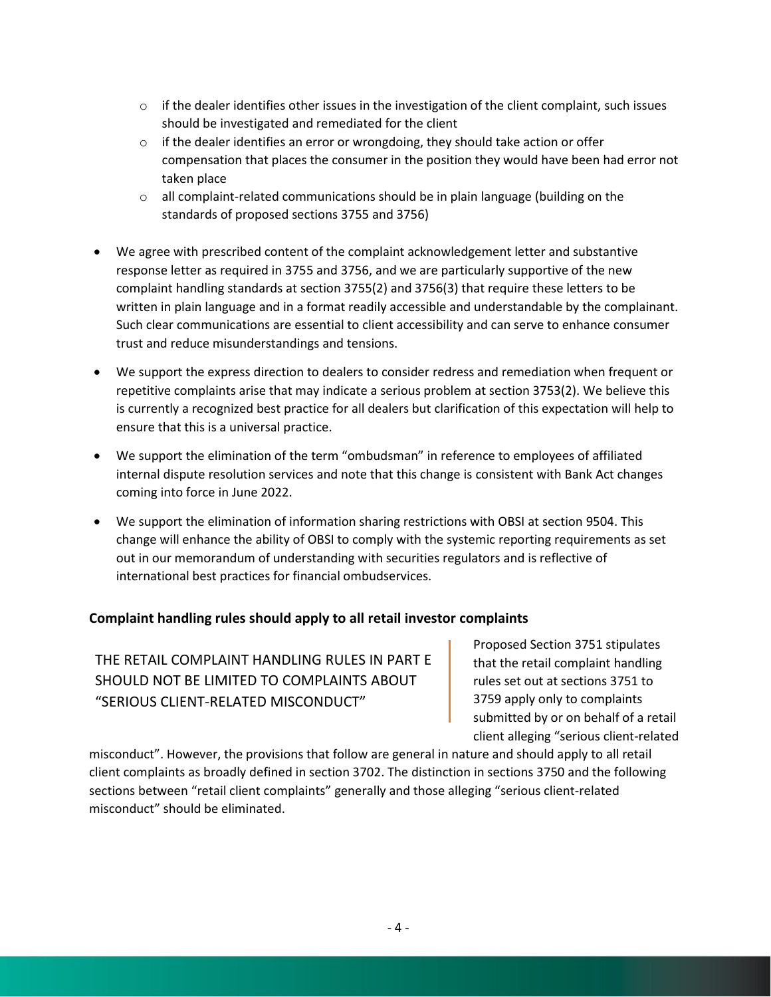- $\circ$  if the dealer identifies other issues in the investigation of the client complaint, such issues should be investigated and remediated for the client
- $\circ$  if the dealer identifies an error or wrongdoing, they should take action or offer compensation that places the consumer in the position they would have been had error not taken place
- $\circ$  all complaint-related communications should be in plain language (building on the standards of proposed sections 3755 and 3756)
- We agree with prescribed content of the complaint acknowledgement letter and substantive response letter as required in 3755 and 3756, and we are particularly supportive of the new complaint handling standards at section 3755(2) and 3756(3) that require these letters to be written in plain language and in a format readily accessible and understandable by the complainant. Such clear communications are essential to client accessibility and can serve to enhance consumer trust and reduce misunderstandings and tensions.
- We support the express direction to dealers to consider redress and remediation when frequent or repetitive complaints arise that may indicate a serious problem at section 3753(2). We believe this is currently a recognized best practice for all dealers but clarification of this expectation will help to ensure that this is a universal practice.
- We support the elimination of the term "ombudsman" in reference to employees of affiliated internal dispute resolution services and note that this change is consistent with Bank Act changes coming into force in June 2022.
- We support the elimination of information sharing restrictions with OBSI at section 9504. This change will enhance the ability of OBSI to comply with the systemic reporting requirements as set out in our memorandum of understanding with securities regulators and is reflective of international best practices for financial ombudservices.

### **Complaint handling rules should apply to all retail investor complaints**

THE RETAIL COMPLAINT HANDLING RULES IN PART E SHOULD NOT BE LIMITED TO COMPLAINTS ABOUT "SERIOUS CLIENT-RELATED MISCONDUCT"

Proposed Section 3751 stipulates that the retail complaint handling rules set out at sections 3751 to 3759 apply only to complaints submitted by or on behalf of a retail client alleging "serious client-related

misconduct". However, the provisions that follow are general in nature and should apply to all retail client complaints as broadly defined in section 3702. The distinction in sections 3750 and the following sections between "retail client complaints" generally and those alleging "serious client-related misconduct" should be eliminated.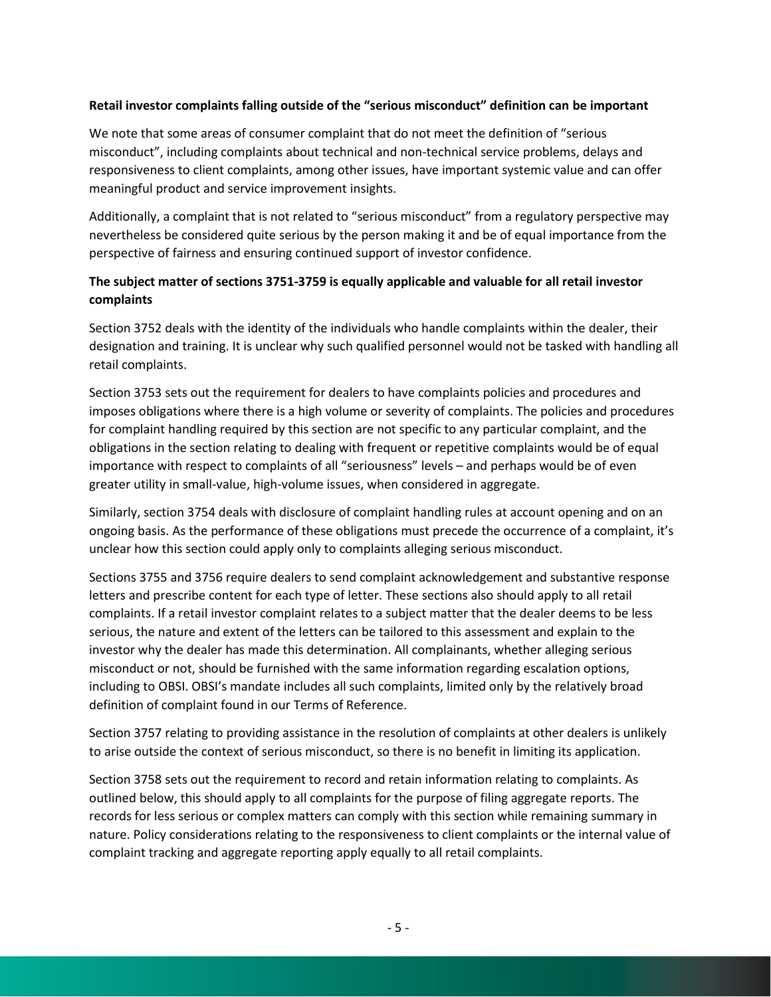#### **Retail investor complaints falling outside of the "serious misconduct" definition can be important**

We note that some areas of consumer complaint that do not meet the definition of "serious misconduct", including complaints about technical and non-technical service problems, delays and responsiveness to client complaints, among other issues, have important systemic value and can offer meaningful product and service improvement insights.

Additionally, a complaint that is not related to "serious misconduct" from a regulatory perspective may nevertheless be considered quite serious by the person making it and be of equal importance from the perspective of fairness and ensuring continued support of investor confidence.

### **The subject matter of sections 3751-3759 is equally applicable and valuable for all retail investor complaints**

Section 3752 deals with the identity of the individuals who handle complaints within the dealer, their designation and training. It is unclear why such qualified personnel would not be tasked with handling all retail complaints.

Section 3753 sets out the requirement for dealers to have complaints policies and procedures and imposes obligations where there is a high volume or severity of complaints. The policies and procedures for complaint handling required by this section are not specific to any particular complaint, and the obligations in the section relating to dealing with frequent or repetitive complaints would be of equal importance with respect to complaints of all "seriousness" levels – and perhaps would be of even greater utility in small-value, high-volume issues, when considered in aggregate.

Similarly, section 3754 deals with disclosure of complaint handling rules at account opening and on an ongoing basis. As the performance of these obligations must precede the occurrence of a complaint, it's unclear how this section could apply only to complaints alleging serious misconduct.

Sections 3755 and 3756 require dealers to send complaint acknowledgement and substantive response letters and prescribe content for each type of letter. These sections also should apply to all retail complaints. If a retail investor complaint relates to a subject matter that the dealer deems to be less serious, the nature and extent of the letters can be tailored to this assessment and explain to the investor why the dealer has made this determination. All complainants, whether alleging serious misconduct or not, should be furnished with the same information regarding escalation options, including to OBSI. OBSI's mandate includes all such complaints, limited only by the relatively broad definition of complaint found in our Terms of Reference.

Section 3757 relating to providing assistance in the resolution of complaints at other dealers is unlikely to arise outside the context of serious misconduct, so there is no benefit in limiting its application.

Section 3758 sets out the requirement to record and retain information relating to complaints. As outlined below, this should apply to all complaints for the purpose of filing aggregate reports. The records for less serious or complex matters can comply with this section while remaining summary in nature. Policy considerations relating to the responsiveness to client complaints or the internal value of complaint tracking and aggregate reporting apply equally to all retail complaints.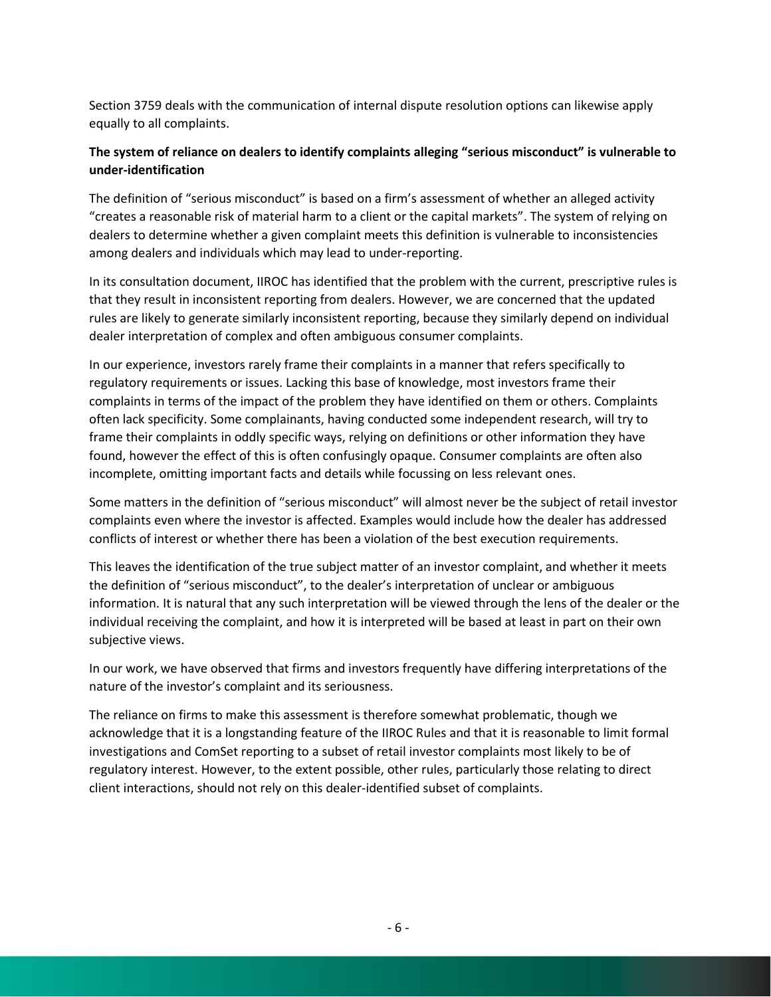Section 3759 deals with the communication of internal dispute resolution options can likewise apply equally to all complaints.

### **The system of reliance on dealers to identify complaints alleging "serious misconduct" is vulnerable to under-identification**

The definition of "serious misconduct" is based on a firm's assessment of whether an alleged activity "creates a reasonable risk of material harm to a client or the capital markets". The system of relying on dealers to determine whether a given complaint meets this definition is vulnerable to inconsistencies among dealers and individuals which may lead to under-reporting.

In its consultation document, IIROC has identified that the problem with the current, prescriptive rules is that they result in inconsistent reporting from dealers. However, we are concerned that the updated rules are likely to generate similarly inconsistent reporting, because they similarly depend on individual dealer interpretation of complex and often ambiguous consumer complaints.

In our experience, investors rarely frame their complaints in a manner that refers specifically to regulatory requirements or issues. Lacking this base of knowledge, most investors frame their complaints in terms of the impact of the problem they have identified on them or others. Complaints often lack specificity. Some complainants, having conducted some independent research, will try to frame their complaints in oddly specific ways, relying on definitions or other information they have found, however the effect of this is often confusingly opaque. Consumer complaints are often also incomplete, omitting important facts and details while focussing on less relevant ones.

Some matters in the definition of "serious misconduct" will almost never be the subject of retail investor complaints even where the investor is affected. Examples would include how the dealer has addressed conflicts of interest or whether there has been a violation of the best execution requirements.

This leaves the identification of the true subject matter of an investor complaint, and whether it meets the definition of "serious misconduct", to the dealer's interpretation of unclear or ambiguous information. It is natural that any such interpretation will be viewed through the lens of the dealer or the individual receiving the complaint, and how it is interpreted will be based at least in part on their own subjective views.

In our work, we have observed that firms and investors frequently have differing interpretations of the nature of the investor's complaint and its seriousness.

The reliance on firms to make this assessment is therefore somewhat problematic, though we acknowledge that it is a longstanding feature of the IIROC Rules and that it is reasonable to limit formal investigations and ComSet reporting to a subset of retail investor complaints most likely to be of regulatory interest. However, to the extent possible, other rules, particularly those relating to direct client interactions, should not rely on this dealer-identified subset of complaints.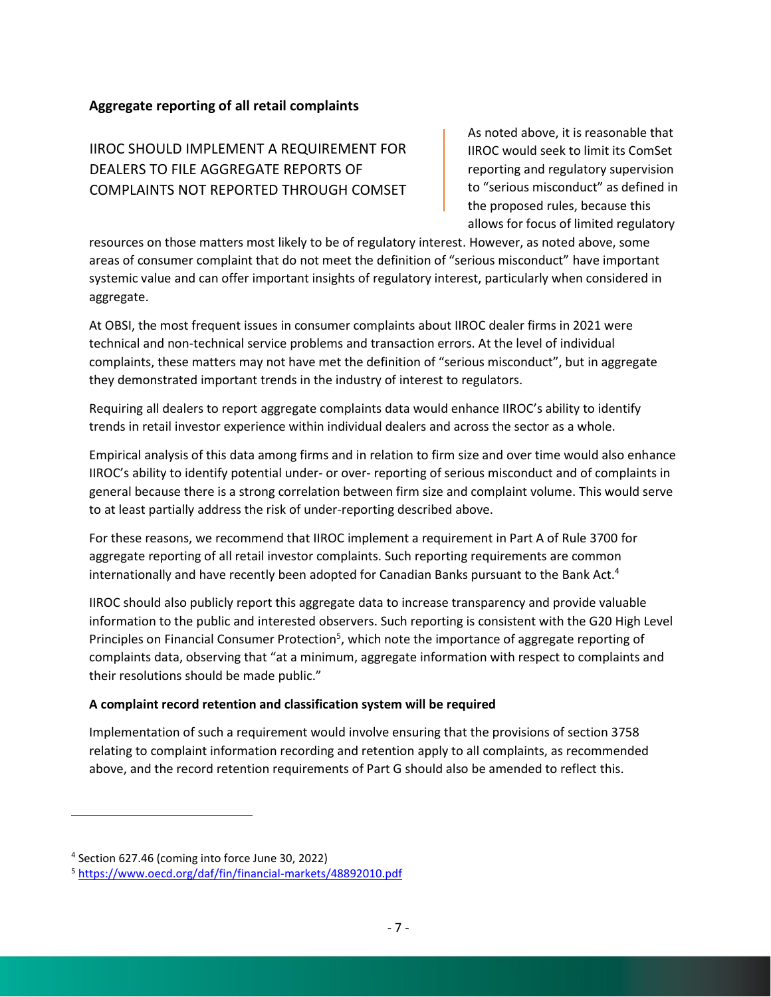#### **Aggregate reporting of all retail complaints**

IIROC SHOULD IMPLEMENT A REQUIREMENT FOR DEALERS TO FILE AGGREGATE REPORTS OF COMPLAINTS NOT REPORTED THROUGH COMSET As noted above, it is reasonable that IIROC would seek to limit its ComSet reporting and regulatory supervision to "serious misconduct" as defined in the proposed rules, because this allows for focus of limited regulatory

resources on those matters most likely to be of regulatory interest. However, as noted above, some areas of consumer complaint that do not meet the definition of "serious misconduct" have important systemic value and can offer important insights of regulatory interest, particularly when considered in aggregate.

At OBSI, the most frequent issues in consumer complaints about IIROC dealer firms in 2021 were technical and non-technical service problems and transaction errors. At the level of individual complaints, these matters may not have met the definition of "serious misconduct", but in aggregate they demonstrated important trends in the industry of interest to regulators.

Requiring all dealers to report aggregate complaints data would enhance IIROC's ability to identify trends in retail investor experience within individual dealers and across the sector as a whole.

Empirical analysis of this data among firms and in relation to firm size and over time would also enhance IIROC's ability to identify potential under- or over- reporting of serious misconduct and of complaints in general because there is a strong correlation between firm size and complaint volume. This would serve to at least partially address the risk of under-reporting described above.

For these reasons, we recommend that IIROC implement a requirement in Part A of Rule 3700 for aggregate reporting of all retail investor complaints. Such reporting requirements are common internationally and have recently been adopted for Canadian Banks pursuant to the Bank Act. 4

IIROC should also publicly report this aggregate data to increase transparency and provide valuable information to the public and interested observers. Such reporting is consistent with the G20 High Level Principles on Financial Consumer Protection<sup>5</sup>, which note the importance of aggregate reporting of complaints data, observing that "at a minimum, aggregate information with respect to complaints and their resolutions should be made public."

#### **A complaint record retention and classification system will be required**

Implementation of such a requirement would involve ensuring that the provisions of section 3758 relating to complaint information recording and retention apply to all complaints, as recommended above, and the record retention requirements of Part G should also be amended to reflect this.

<sup>4</sup> Section 627.46 (coming into force June 30, 2022)

<sup>5</sup> <https://www.oecd.org/daf/fin/financial-markets/48892010.pdf>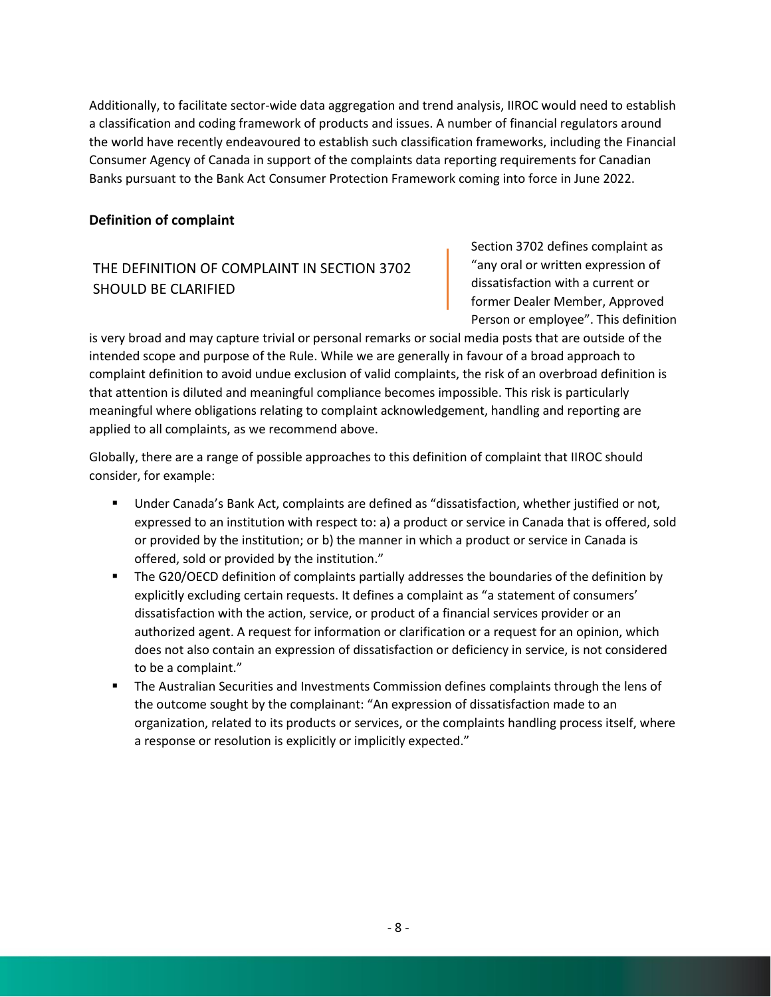Additionally, to facilitate sector-wide data aggregation and trend analysis, IIROC would need to establish a classification and coding framework of products and issues. A number of financial regulators around the world have recently endeavoured to establish such classification frameworks, including the Financial Consumer Agency of Canada in support of the complaints data reporting requirements for Canadian Banks pursuant to the Bank Act Consumer Protection Framework coming into force in June 2022.

#### **Definition of complaint**

# THE DEFINITION OF COMPLAINT IN SECTION 3702 SHOULD BE CLARIFIED

Section 3702 defines complaint as "any oral or written expression of dissatisfaction with a current or former Dealer Member, Approved Person or employee". This definition

is very broad and may capture trivial or personal remarks or social media posts that are outside of the intended scope and purpose of the Rule. While we are generally in favour of a broad approach to complaint definition to avoid undue exclusion of valid complaints, the risk of an overbroad definition is that attention is diluted and meaningful compliance becomes impossible. This risk is particularly meaningful where obligations relating to complaint acknowledgement, handling and reporting are applied to all complaints, as we recommend above.

Globally, there are a range of possible approaches to this definition of complaint that IIROC should consider, for example:

- Under Canada's Bank Act, complaints are defined as "dissatisfaction, whether justified or not, expressed to an institution with respect to: a) a product or service in Canada that is offered, sold or provided by the institution; or b) the manner in which a product or service in Canada is offered, sold or provided by the institution."
- The G20/OECD definition of complaints partially addresses the boundaries of the definition by explicitly excluding certain requests. It defines a complaint as "a statement of consumers' dissatisfaction with the action, service, or product of a financial services provider or an authorized agent. A request for information or clarification or a request for an opinion, which does not also contain an expression of dissatisfaction or deficiency in service, is not considered to be a complaint."
- **•** The Australian Securities and Investments Commission defines complaints through the lens of the outcome sought by the complainant: "An expression of dissatisfaction made to an organization, related to its products or services, or the complaints handling process itself, where a response or resolution is explicitly or implicitly expected."